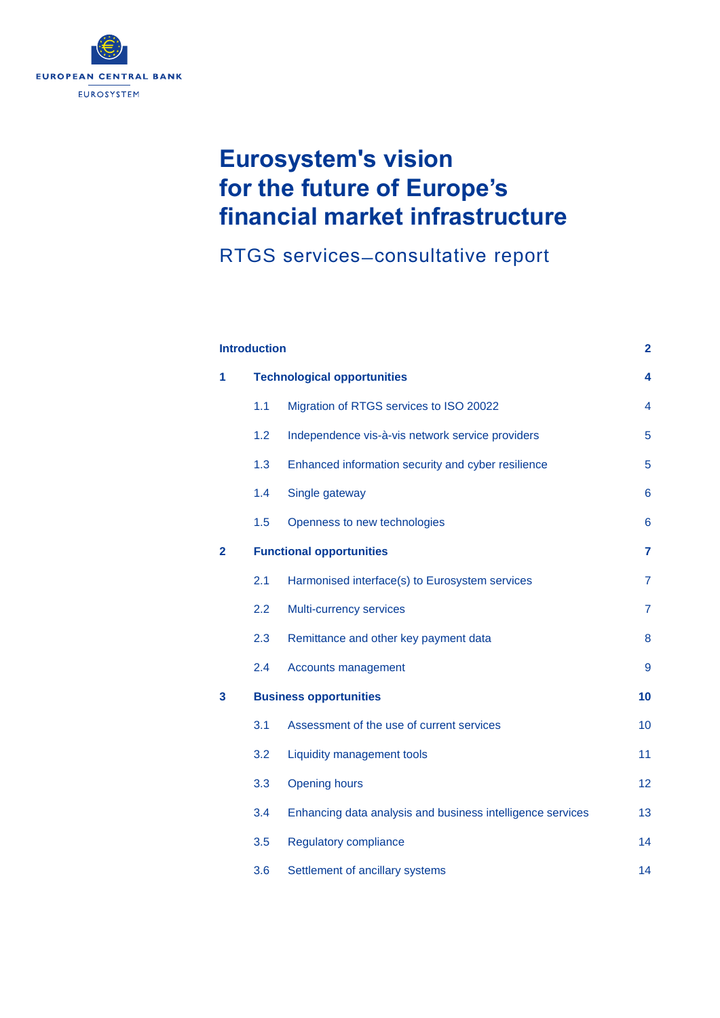

# **Eurosystem's vision for the future of Europe's financial market infrastructure**

RTGS services ̶ consultative report

| <b>Introduction</b> |                                    |                                                            | $\mathbf{2}$   |
|---------------------|------------------------------------|------------------------------------------------------------|----------------|
| 1                   | <b>Technological opportunities</b> |                                                            | 4              |
|                     | 1.1                                | Migration of RTGS services to ISO 20022                    | 4              |
|                     | 1.2                                | Independence vis-à-vis network service providers           | 5              |
|                     | 1.3                                | Enhanced information security and cyber resilience         | 5              |
|                     | 1.4                                | Single gateway                                             | 6              |
|                     | 1.5                                | Openness to new technologies                               | 6              |
| $\mathbf{2}$        | <b>Functional opportunities</b>    |                                                            | 7              |
|                     | 2.1                                | Harmonised interface(s) to Eurosystem services             | $\overline{7}$ |
|                     | 2.2                                | Multi-currency services                                    | $\overline{7}$ |
|                     | 2.3                                | Remittance and other key payment data                      | 8              |
|                     | 2.4                                | Accounts management                                        | 9              |
| 3                   | <b>Business opportunities</b>      |                                                            | 10             |
|                     | 3.1                                | Assessment of the use of current services                  | 10             |
|                     | 3.2                                | <b>Liquidity management tools</b>                          | 11             |
|                     | 3.3                                | <b>Opening hours</b>                                       | 12             |
|                     | 3.4                                | Enhancing data analysis and business intelligence services | 13             |
|                     | 3.5                                | <b>Regulatory compliance</b>                               | 14             |
|                     | 3.6                                | Settlement of ancillary systems                            | 14             |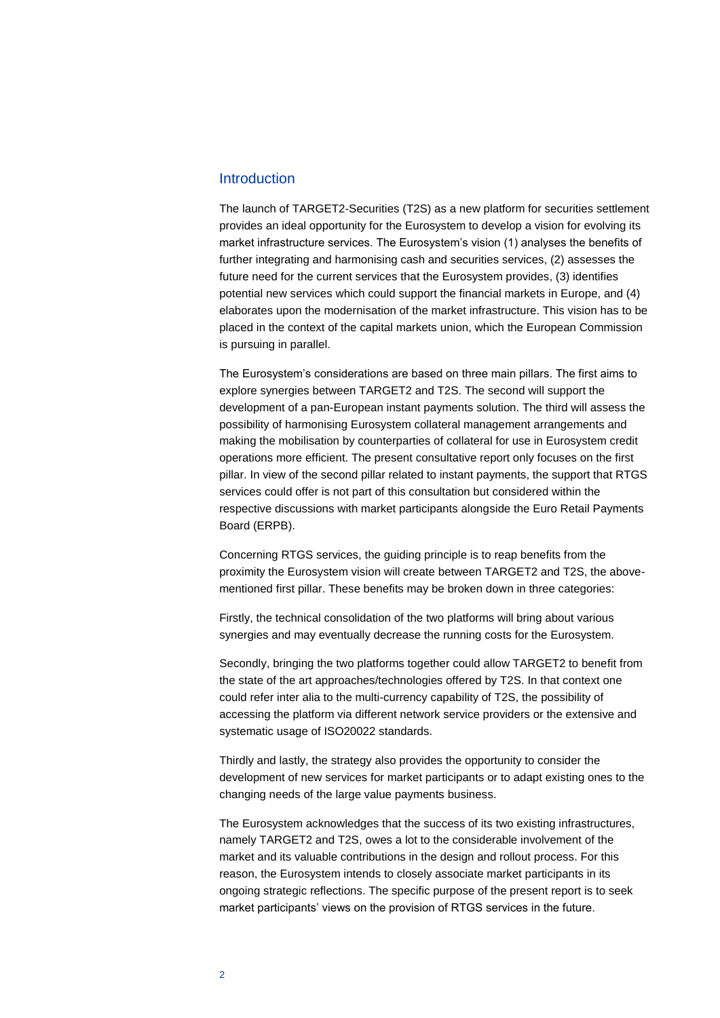#### <span id="page-1-0"></span>Introduction

The launch of TARGET2-Securities (T2S) as a new platform for securities settlement provides an ideal opportunity for the Eurosystem to develop a vision for evolving its market infrastructure services. The Eurosystem's vision (1) analyses the benefits of further integrating and harmonising cash and securities services, (2) assesses the future need for the current services that the Eurosystem provides, (3) identifies potential new services which could support the financial markets in Europe, and (4) elaborates upon the modernisation of the market infrastructure. This vision has to be placed in the context of the capital markets union, which the European Commission is pursuing in parallel.

The Eurosystem's considerations are based on three main pillars. The first aims to explore synergies between TARGET2 and T2S. The second will support the development of a pan-European instant payments solution. The third will assess the possibility of harmonising Eurosystem collateral management arrangements and making the mobilisation by counterparties of collateral for use in Eurosystem credit operations more efficient. The present consultative report only focuses on the first pillar. In view of the second pillar related to instant payments, the support that RTGS services could offer is not part of this consultation but considered within the respective discussions with market participants alongside the Euro Retail Payments Board (ERPB).

Concerning RTGS services, the guiding principle is to reap benefits from the proximity the Eurosystem vision will create between TARGET2 and T2S, the abovementioned first pillar. These benefits may be broken down in three categories:

Firstly, the technical consolidation of the two platforms will bring about various synergies and may eventually decrease the running costs for the Eurosystem.

Secondly, bringing the two platforms together could allow TARGET2 to benefit from the state of the art approaches/technologies offered by T2S. In that context one could refer inter alia to the multi-currency capability of T2S, the possibility of accessing the platform via different network service providers or the extensive and systematic usage of ISO20022 standards.

Thirdly and lastly, the strategy also provides the opportunity to consider the development of new services for market participants or to adapt existing ones to the changing needs of the large value payments business.

The Eurosystem acknowledges that the success of its two existing infrastructures, namely TARGET2 and T2S, owes a lot to the considerable involvement of the market and its valuable contributions in the design and rollout process. For this reason, the Eurosystem intends to closely associate market participants in its ongoing strategic reflections. The specific purpose of the present report is to seek market participants' views on the provision of RTGS services in the future.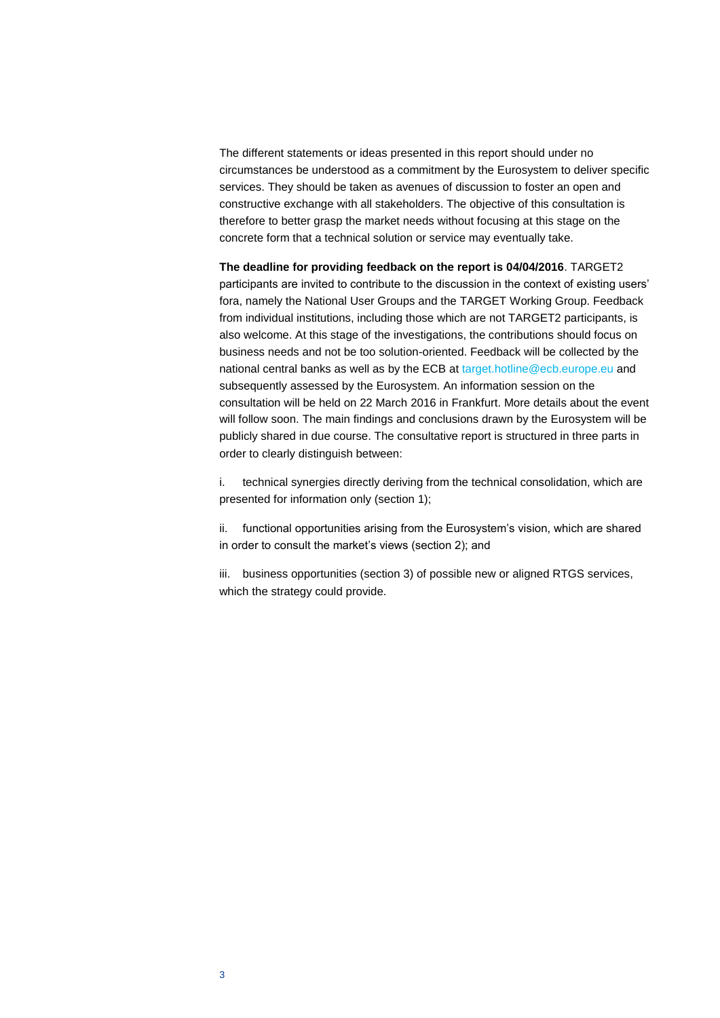The different statements or ideas presented in this report should under no circumstances be understood as a commitment by the Eurosystem to deliver specific services. They should be taken as avenues of discussion to foster an open and constructive exchange with all stakeholders. The objective of this consultation is therefore to better grasp the market needs without focusing at this stage on the concrete form that a technical solution or service may eventually take.

**The deadline for providing feedback on the report is 04/04/2016**. TARGET2 participants are invited to contribute to the discussion in the context of existing users' fora, namely the National User Groups and the TARGET Working Group. Feedback from individual institutions, including those which are not TARGET2 participants, is also welcome. At this stage of the investigations, the contributions should focus on business needs and not be too solution-oriented. Feedback will be collected by the national central banks as well as by the ECB at [target.hotline@ecb.europe.eu](mailto:target.hotline@ecb.europe.eu) and subsequently assessed by the Eurosystem. An information session on the consultation will be held on 22 March 2016 in Frankfurt. More details about the event will follow soon. The main findings and conclusions drawn by the Eurosystem will be publicly shared in due course. The consultative report is structured in three parts in order to clearly distinguish between:

i. technical synergies directly deriving from the technical consolidation, which are presented for information only (section 1);

ii. functional opportunities arising from the Eurosystem's vision, which are shared in order to consult the market's views (section 2); and

iii. business opportunities (section 3) of possible new or aligned RTGS services, which the strategy could provide.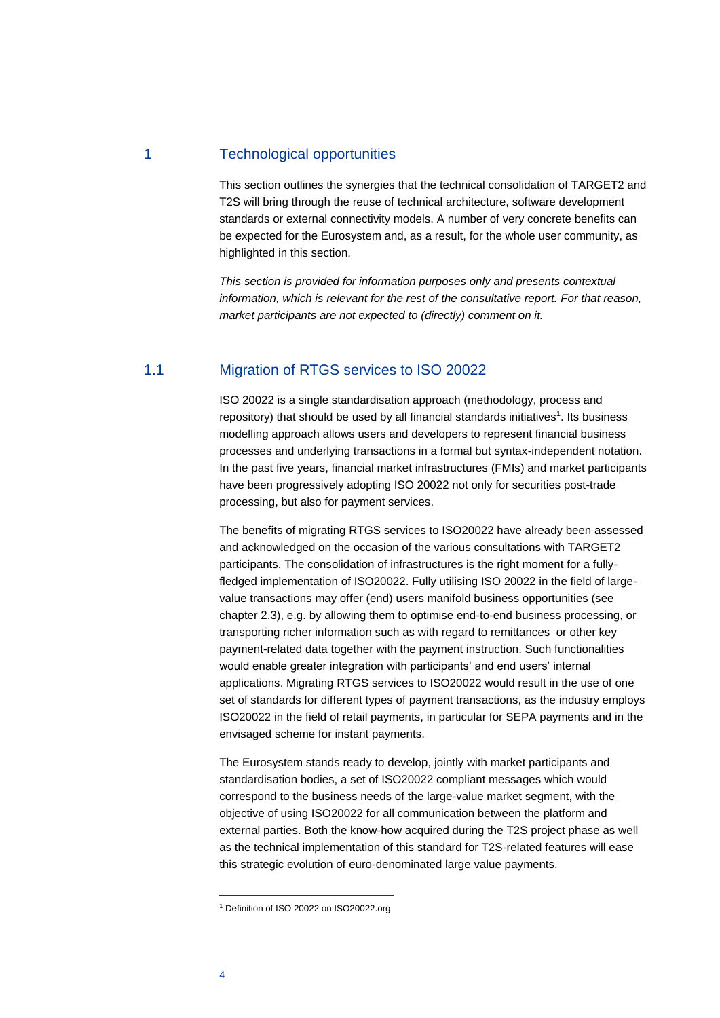# <span id="page-3-0"></span>1 Technological opportunities

This section outlines the synergies that the technical consolidation of TARGET2 and T2S will bring through the reuse of technical architecture, software development standards or external connectivity models. A number of very concrete benefits can be expected for the Eurosystem and, as a result, for the whole user community, as highlighted in this section.

*This section is provided for information purposes only and presents contextual information, which is relevant for the rest of the consultative report. For that reason, market participants are not expected to (directly) comment on it.*

#### <span id="page-3-1"></span>1.1 Migration of RTGS services to ISO 20022

ISO 20022 is a single standardisation approach (methodology, process and repository) that should be used by all financial standards initiatives<sup>1</sup>. Its business modelling approach allows users and developers to represent financial business processes and underlying transactions in a formal but syntax-independent notation. In the past five years, financial market infrastructures (FMIs) and market participants have been progressively adopting ISO 20022 not only for securities post-trade processing, but also for payment services.

The benefits of migrating RTGS services to ISO20022 have already been assessed and acknowledged on the occasion of the various consultations with TARGET2 participants. The consolidation of infrastructures is the right moment for a fullyfledged implementation of ISO20022. Fully utilising ISO 20022 in the field of largevalue transactions may offer (end) users manifold business opportunities (see chapter [2.3\)](#page-7-0), e.g. by allowing them to optimise end-to-end business processing, or transporting richer information such as with regard to remittances or other key payment-related data together with the payment instruction. Such functionalities would enable greater integration with participants' and end users' internal applications. Migrating RTGS services to ISO20022 would result in the use of one set of standards for different types of payment transactions, as the industry employs ISO20022 in the field of retail payments, in particular for SEPA payments and in the envisaged scheme for instant payments.

The Eurosystem stands ready to develop, jointly with market participants and standardisation bodies, a set of ISO20022 compliant messages which would correspond to the business needs of the large-value market segment, with the objective of using ISO20022 for all communication between the platform and external parties. Both the know-how acquired during the T2S project phase as well as the technical implementation of this standard for T2S-related features will ease this strategic evolution of euro-denominated large value payments.

4

<sup>&</sup>lt;sup>1</sup> Definition of ISO 20022 on ISO20022.org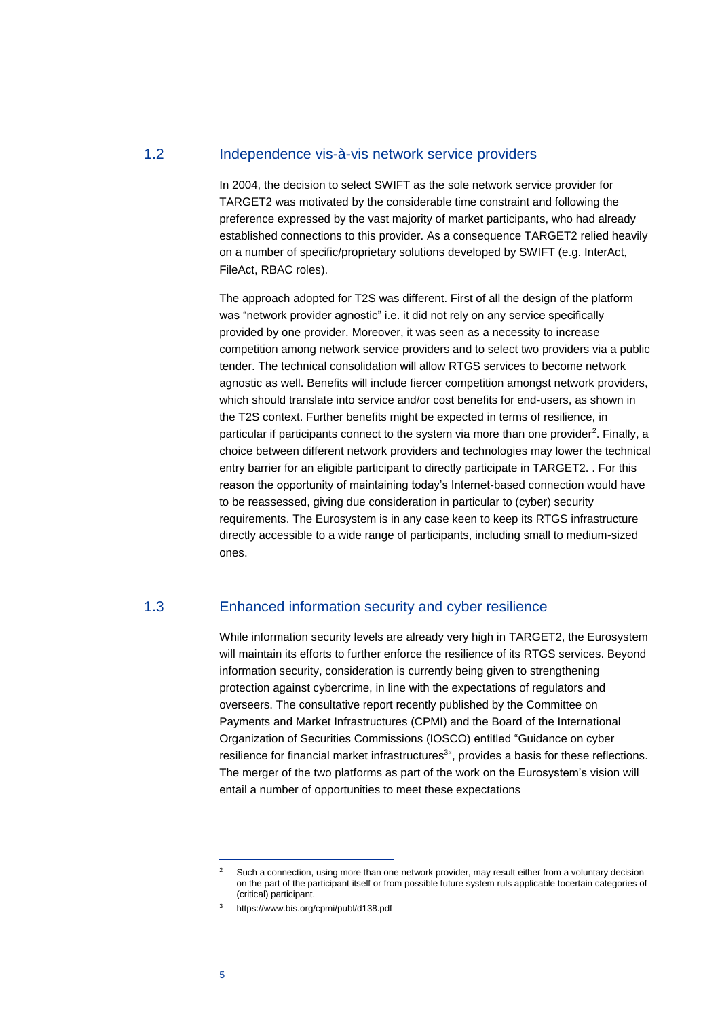### <span id="page-4-0"></span>1.2 Independence vis-à-vis network service providers

In 2004, the decision to select SWIFT as the sole network service provider for TARGET2 was motivated by the considerable time constraint and following the preference expressed by the vast majority of market participants, who had already established connections to this provider. As a consequence TARGET2 relied heavily on a number of specific/proprietary solutions developed by SWIFT (e.g. InterAct, FileAct, RBAC roles).

The approach adopted for T2S was different. First of all the design of the platform was "network provider agnostic" i.e. it did not rely on any service specifically provided by one provider. Moreover, it was seen as a necessity to increase competition among network service providers and to select two providers via a public tender. The technical consolidation will allow RTGS services to become network agnostic as well. Benefits will include fiercer competition amongst network providers, which should translate into service and/or cost benefits for end-users, as shown in the T2S context. Further benefits might be expected in terms of resilience, in particular if participants connect to the system via more than one provider<sup>2</sup>. Finally, a choice between different network providers and technologies may lower the technical entry barrier for an eligible participant to directly participate in TARGET2. . For this reason the opportunity of maintaining today's Internet-based connection would have to be reassessed, giving due consideration in particular to (cyber) security requirements. The Eurosystem is in any case keen to keep its RTGS infrastructure directly accessible to a wide range of participants, including small to medium-sized ones.

#### <span id="page-4-1"></span>1.3 Enhanced information security and cyber resilience

While information security levels are already very high in TARGET2, the Eurosystem will maintain its efforts to further enforce the resilience of its RTGS services. Beyond information security, consideration is currently being given to strengthening protection against cybercrime, in line with the expectations of regulators and overseers. The consultative report recently published by the Committee on Payments and Market Infrastructures (CPMI) and the Board of the International Organization of Securities Commissions (IOSCO) entitled "Guidance on cyber resilience for financial market infrastructures<sup>3</sup>", provides a basis for these reflections. The merger of the two platforms as part of the work on the Eurosystem's vision will entail a number of opportunities to meet these expectations

<sup>&</sup>lt;sup>2</sup> Such a connection, using more than one network provider, may result either from a voluntary decision on the part of the participant itself or from possible future system ruls applicable tocertain categories of (critical) participant.

<sup>3</sup> https://www.bis.org/cpmi/publ/d138.pdf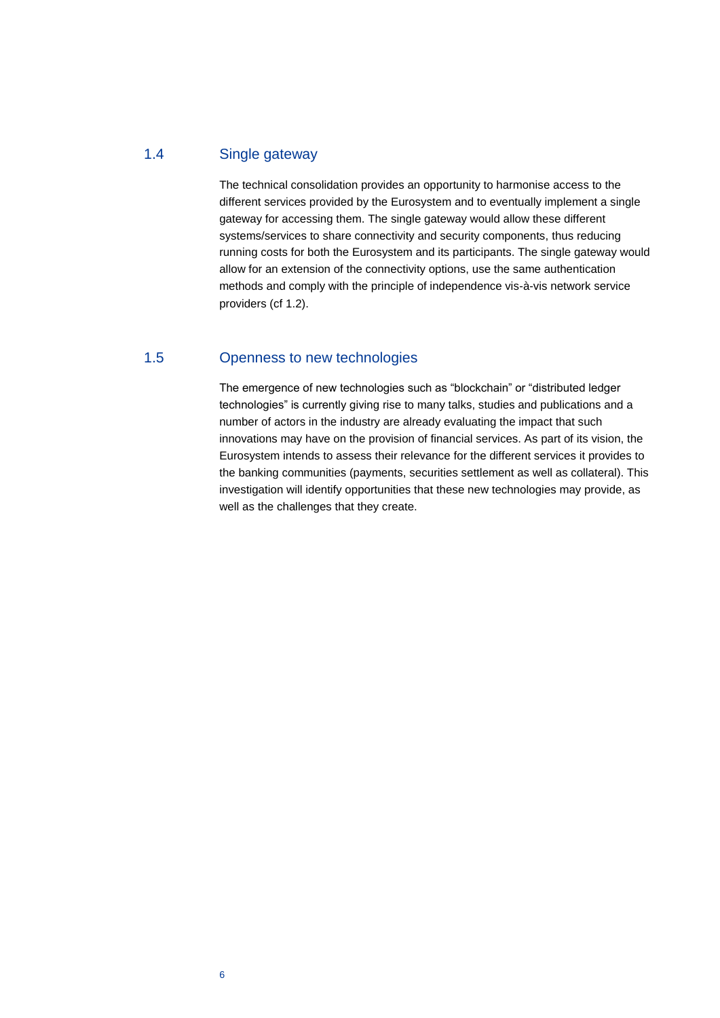# <span id="page-5-0"></span>1.4 Single gateway

The technical consolidation provides an opportunity to harmonise access to the different services provided by the Eurosystem and to eventually implement a single gateway for accessing them. The single gateway would allow these different systems/services to share connectivity and security components, thus reducing running costs for both the Eurosystem and its participants. The single gateway would allow for an extension of the connectivity options, use the same authentication methods and comply with the principle of independence vis-à-vis network service providers (cf [1.2\)](#page-4-0).

# <span id="page-5-1"></span>1.5 Openness to new technologies

The emergence of new technologies such as "blockchain" or "distributed ledger technologies" is currently giving rise to many talks, studies and publications and a number of actors in the industry are already evaluating the impact that such innovations may have on the provision of financial services. As part of its vision, the Eurosystem intends to assess their relevance for the different services it provides to the banking communities (payments, securities settlement as well as collateral). This investigation will identify opportunities that these new technologies may provide, as well as the challenges that they create.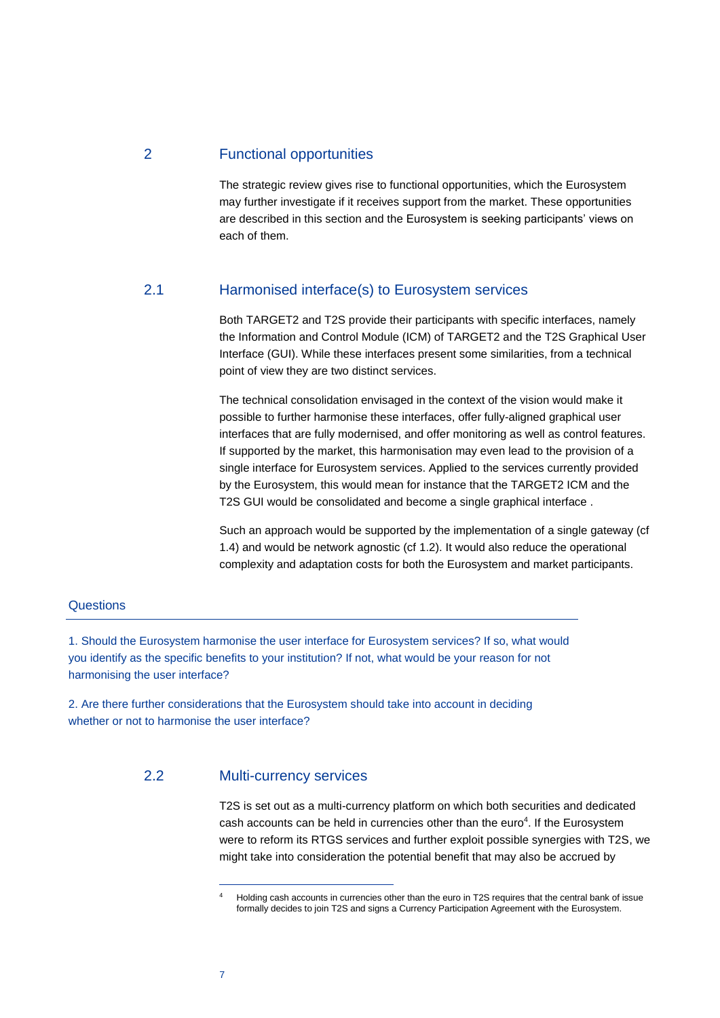# <span id="page-6-0"></span>2 Functional opportunities

The strategic review gives rise to functional opportunities, which the Eurosystem may further investigate if it receives support from the market. These opportunities are described in this section and the Eurosystem is seeking participants' views on each of them.

# <span id="page-6-1"></span>2.1 Harmonised interface(s) to Eurosystem services

Both TARGET2 and T2S provide their participants with specific interfaces, namely the Information and Control Module (ICM) of TARGET2 and the T2S Graphical User Interface (GUI). While these interfaces present some similarities, from a technical point of view they are two distinct services.

The technical consolidation envisaged in the context of the vision would make it possible to further harmonise these interfaces, offer fully-aligned graphical user interfaces that are fully modernised, and offer monitoring as well as control features. If supported by the market, this harmonisation may even lead to the provision of a single interface for Eurosystem services. Applied to the services currently provided by the Eurosystem, this would mean for instance that the TARGET2 ICM and the T2S GUI would be consolidated and become a single graphical interface .

Such an approach would be supported by the implementation of a single gateway (cf [1.4\)](#page-5-0) and would be network agnostic (c[f 1.2\)](#page-4-0). It would also reduce the operational complexity and adaptation costs for both the Eurosystem and market participants.

#### **Questions**

1. Should the Eurosystem harmonise the user interface for Eurosystem services? If so, what would you identify as the specific benefits to your institution? If not, what would be your reason for not harmonising the user interface?

<span id="page-6-2"></span>2. Are there further considerations that the Eurosystem should take into account in deciding whether or not to harmonise the user interface?

# 2.2 Multi-currency services

T2S is set out as a multi-currency platform on which both securities and dedicated cash accounts can be held in currencies other than the euro $4$ . If the Eurosystem were to reform its RTGS services and further exploit possible synergies with T2S, we might take into consideration the potential benefit that may also be accrued by

7

<sup>4</sup> Holding cash accounts in currencies other than the euro in T2S requires that the central bank of issue formally decides to join T2S and signs a Currency Participation Agreement with the Eurosystem.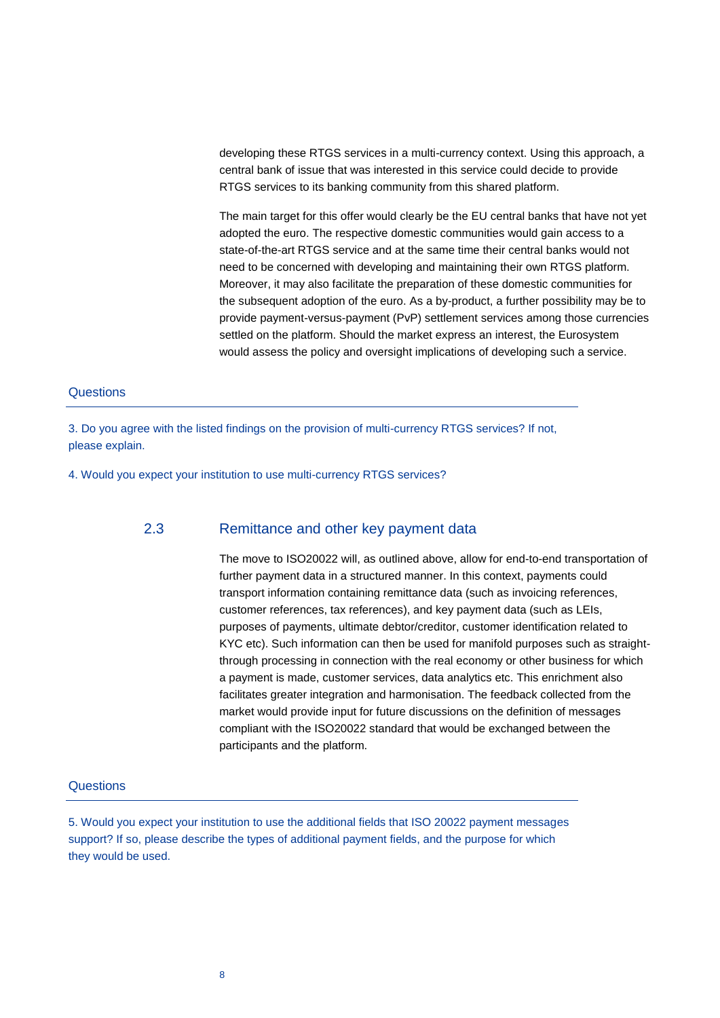developing these RTGS services in a multi-currency context. Using this approach, a central bank of issue that was interested in this service could decide to provide RTGS services to its banking community from this shared platform.

The main target for this offer would clearly be the EU central banks that have not yet adopted the euro. The respective domestic communities would gain access to a state-of-the-art RTGS service and at the same time their central banks would not need to be concerned with developing and maintaining their own RTGS platform. Moreover, it may also facilitate the preparation of these domestic communities for the subsequent adoption of the euro. As a by-product, a further possibility may be to provide payment-versus-payment (PvP) settlement services among those currencies settled on the platform. Should the market express an interest, the Eurosystem would assess the policy and oversight implications of developing such a service.

#### **Questions**

3. Do you agree with the listed findings on the provision of multi-currency RTGS services? If not, please explain.

<span id="page-7-0"></span>4. Would you expect your institution to use multi-currency RTGS services?

#### 2.3 Remittance and other key payment data

The move to ISO20022 will, as outlined above, allow for end-to-end transportation of further payment data in a structured manner. In this context, payments could transport information containing remittance data (such as invoicing references, customer references, tax references), and key payment data (such as LEIs, purposes of payments, ultimate debtor/creditor, customer identification related to KYC etc). Such information can then be used for manifold purposes such as straightthrough processing in connection with the real economy or other business for which a payment is made, customer services, data analytics etc. This enrichment also facilitates greater integration and harmonisation. The feedback collected from the market would provide input for future discussions on the definition of messages compliant with the ISO20022 standard that would be exchanged between the participants and the platform.

#### **Questions**

5. Would you expect your institution to use the additional fields that ISO 20022 payment messages support? If so, please describe the types of additional payment fields, and the purpose for which they would be used.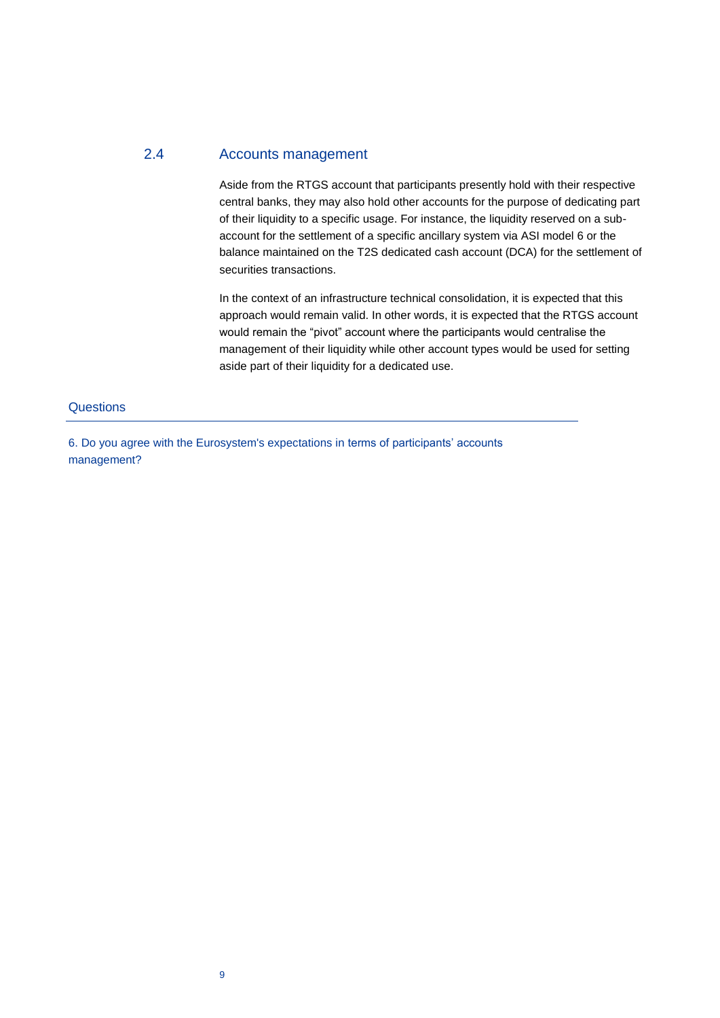# <span id="page-8-0"></span>2.4 Accounts management

Aside from the RTGS account that participants presently hold with their respective central banks, they may also hold other accounts for the purpose of dedicating part of their liquidity to a specific usage. For instance, the liquidity reserved on a subaccount for the settlement of a specific ancillary system via ASI model 6 or the balance maintained on the T2S dedicated cash account (DCA) for the settlement of securities transactions.

In the context of an infrastructure technical consolidation, it is expected that this approach would remain valid. In other words, it is expected that the RTGS account would remain the "pivot" account where the participants would centralise the management of their liquidity while other account types would be used for setting aside part of their liquidity for a dedicated use.

#### **Questions**

6. Do you agree with the Eurosystem's expectations in terms of participants' accounts management?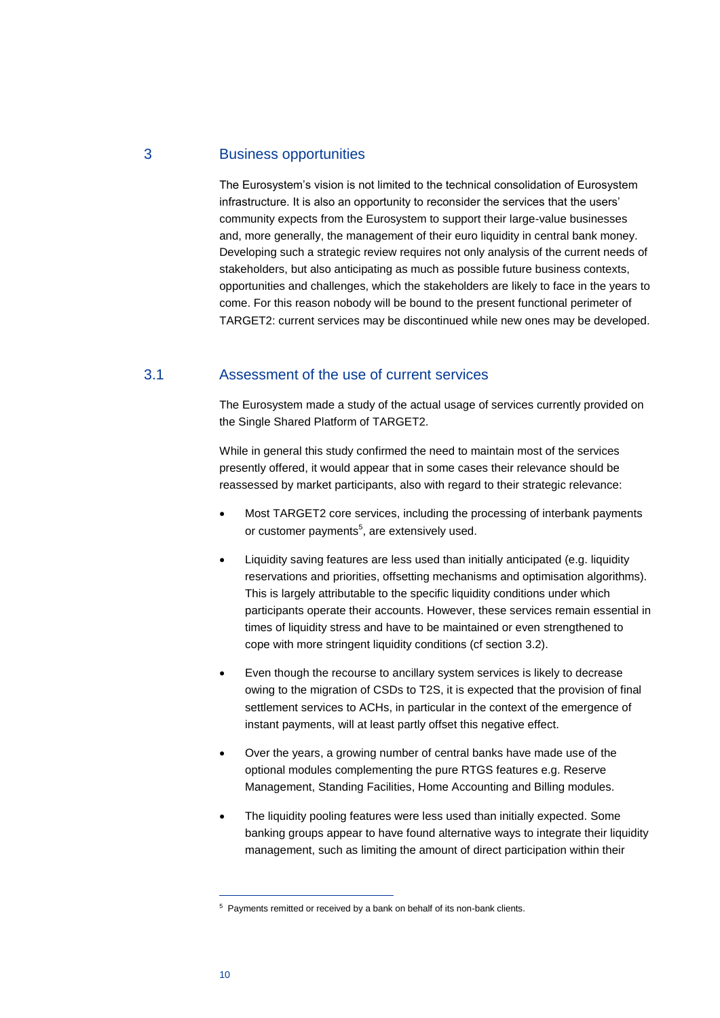# <span id="page-9-0"></span>3 Business opportunities

The Eurosystem's vision is not limited to the technical consolidation of Eurosystem infrastructure. It is also an opportunity to reconsider the services that the users' community expects from the Eurosystem to support their large-value businesses and, more generally, the management of their euro liquidity in central bank money. Developing such a strategic review requires not only analysis of the current needs of stakeholders, but also anticipating as much as possible future business contexts, opportunities and challenges, which the stakeholders are likely to face in the years to come. For this reason nobody will be bound to the present functional perimeter of TARGET2: current services may be discontinued while new ones may be developed.

### <span id="page-9-1"></span>3.1 Assessment of the use of current services

The Eurosystem made a study of the actual usage of services currently provided on the Single Shared Platform of TARGET2.

While in general this study confirmed the need to maintain most of the services presently offered, it would appear that in some cases their relevance should be reassessed by market participants, also with regard to their strategic relevance:

- Most TARGET2 core services, including the processing of interbank payments or customer payments<sup>5</sup>, are extensively used.
- Liquidity saving features are less used than initially anticipated (e.g. liquidity reservations and priorities, offsetting mechanisms and optimisation algorithms). This is largely attributable to the specific liquidity conditions under which participants operate their accounts. However, these services remain essential in times of liquidity stress and have to be maintained or even strengthened to cope with more stringent liquidity conditions (cf section [3.2\)](#page-10-0).
- Even though the recourse to ancillary system services is likely to decrease owing to the migration of CSDs to T2S, it is expected that the provision of final settlement services to ACHs, in particular in the context of the emergence of instant payments, will at least partly offset this negative effect.
- Over the years, a growing number of central banks have made use of the optional modules complementing the pure RTGS features e.g. Reserve Management, Standing Facilities, Home Accounting and Billing modules.
- The liquidity pooling features were less used than initially expected. Some banking groups appear to have found alternative ways to integrate their liquidity management, such as limiting the amount of direct participation within their

<sup>&</sup>lt;sup>5</sup> Payments remitted or received by a bank on behalf of its non-bank clients.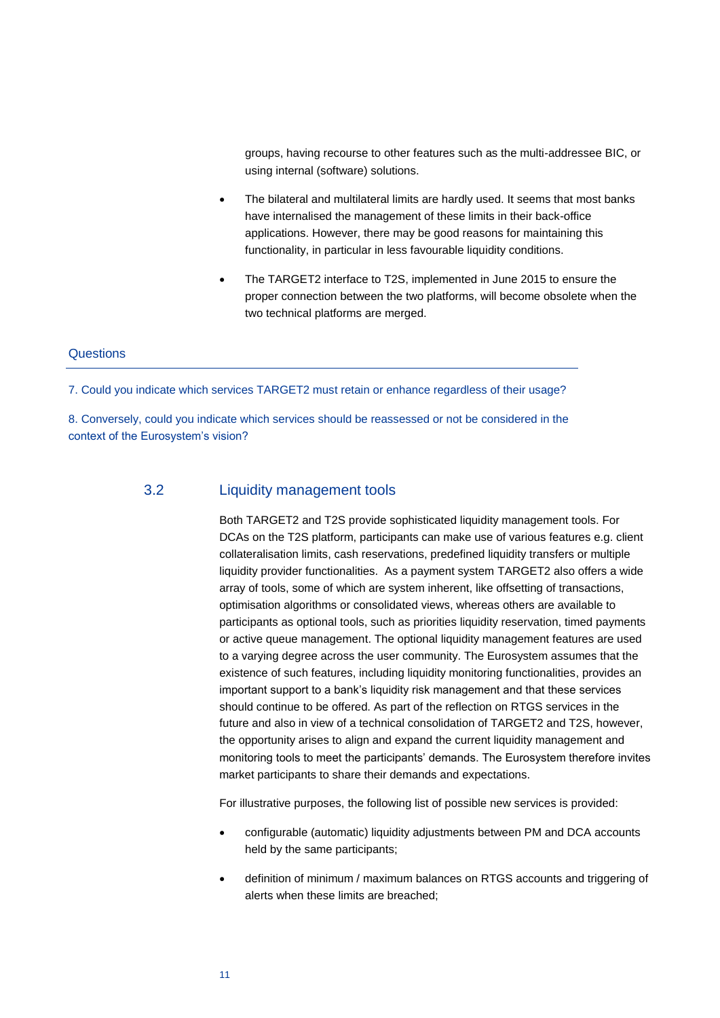groups, having recourse to other features such as the multi-addressee BIC, or using internal (software) solutions.

- The bilateral and multilateral limits are hardly used. It seems that most banks have internalised the management of these limits in their back-office applications. However, there may be good reasons for maintaining this functionality, in particular in less favourable liquidity conditions.
- The TARGET2 interface to T2S, implemented in June 2015 to ensure the proper connection between the two platforms, will become obsolete when the two technical platforms are merged.

#### **Questions**

7. Could you indicate which services TARGET2 must retain or enhance regardless of their usage?

<span id="page-10-0"></span>8. Conversely, could you indicate which services should be reassessed or not be considered in the context of the Eurosystem's vision?

#### 3.2 Liquidity management tools

Both TARGET2 and T2S provide sophisticated liquidity management tools. For DCAs on the T2S platform, participants can make use of various features e.g. client collateralisation limits, cash reservations, predefined liquidity transfers or multiple liquidity provider functionalities. As a payment system TARGET2 also offers a wide array of tools, some of which are system inherent, like offsetting of transactions, optimisation algorithms or consolidated views, whereas others are available to participants as optional tools, such as priorities liquidity reservation, timed payments or active queue management. The optional liquidity management features are used to a varying degree across the user community. The Eurosystem assumes that the existence of such features, including liquidity monitoring functionalities, provides an important support to a bank's liquidity risk management and that these services should continue to be offered. As part of the reflection on RTGS services in the future and also in view of a technical consolidation of TARGET2 and T2S, however, the opportunity arises to align and expand the current liquidity management and monitoring tools to meet the participants' demands. The Eurosystem therefore invites market participants to share their demands and expectations.

For illustrative purposes, the following list of possible new services is provided:

- configurable (automatic) liquidity adjustments between PM and DCA accounts held by the same participants;
- definition of minimum / maximum balances on RTGS accounts and triggering of alerts when these limits are breached;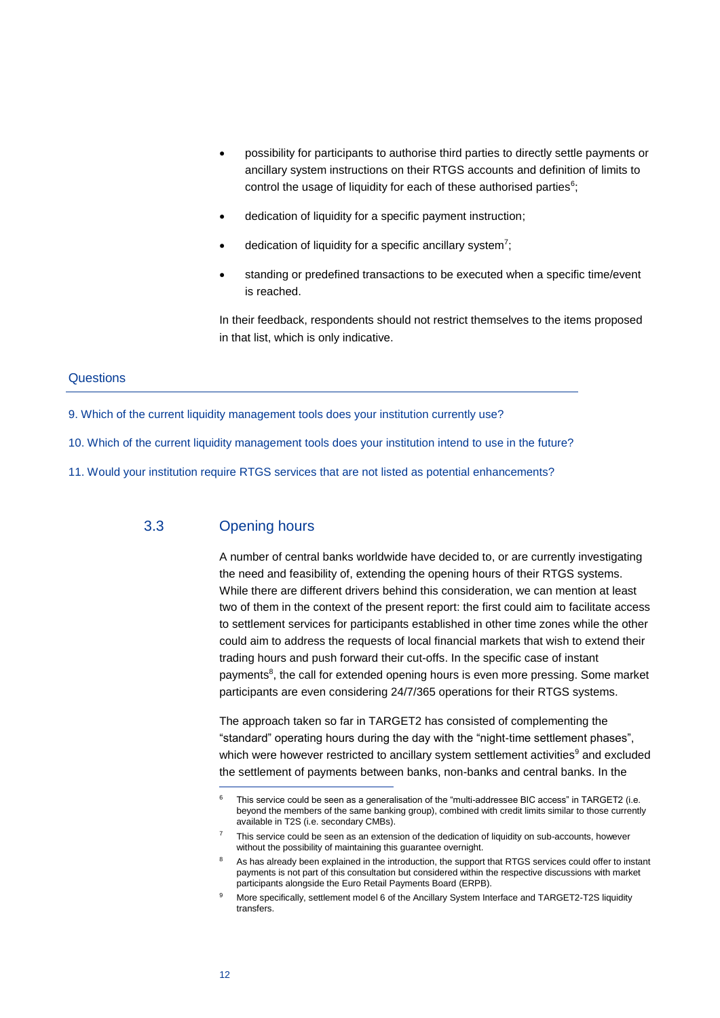- possibility for participants to authorise third parties to directly settle payments or ancillary system instructions on their RTGS accounts and definition of limits to control the usage of liquidity for each of these authorised parties $6$ ;
- dedication of liquidity for a specific payment instruction;
- $\bullet$  dedication of liquidity for a specific ancillary system<sup>7</sup>;
- standing or predefined transactions to be executed when a specific time/event is reached.

In their feedback, respondents should not restrict themselves to the items proposed in that list, which is only indicative.

#### **Questions**

- 9. Which of the current liquidity management tools does your institution currently use?
- 10. Which of the current liquidity management tools does your institution intend to use in the future?
- <span id="page-11-0"></span>11. Would your institution require RTGS services that are not listed as potential enhancements?

#### 3.3 Opening hours

A number of central banks worldwide have decided to, or are currently investigating the need and feasibility of, extending the opening hours of their RTGS systems. While there are different drivers behind this consideration, we can mention at least two of them in the context of the present report: the first could aim to facilitate access to settlement services for participants established in other time zones while the other could aim to address the requests of local financial markets that wish to extend their trading hours and push forward their cut-offs. In the specific case of instant payments<sup>8</sup>, the call for extended opening hours is even more pressing. Some market participants are even considering 24/7/365 operations for their RTGS systems.

The approach taken so far in TARGET2 has consisted of complementing the "standard" operating hours during the day with the "night-time settlement phases", which were however restricted to ancillary system settlement activities<sup>9</sup> and excluded the settlement of payments between banks, non-banks and central banks. In the

This service could be seen as a generalisation of the "multi-addressee BIC access" in TARGET2 (i.e. beyond the members of the same banking group), combined with credit limits similar to those currently available in T2S (i.e. secondary CMBs).

This service could be seen as an extension of the dedication of liquidity on sub-accounts, however without the possibility of maintaining this guarantee overnight.

As has already been explained in the introduction, the support that RTGS services could offer to instant payments is not part of this consultation but considered within the respective discussions with market participants alongside the Euro Retail Payments Board (ERPB).

More specifically, settlement model 6 of the Ancillary System Interface and TARGET2-T2S liquidity transfers.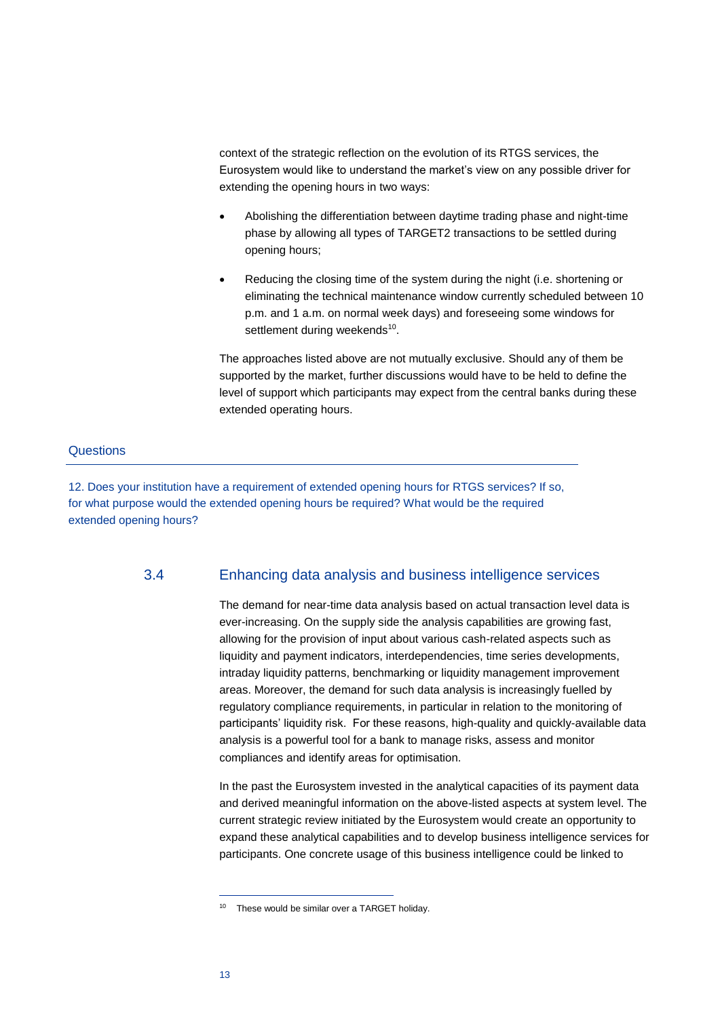context of the strategic reflection on the evolution of its RTGS services, the Eurosystem would like to understand the market's view on any possible driver for extending the opening hours in two ways:

- Abolishing the differentiation between daytime trading phase and night-time phase by allowing all types of TARGET2 transactions to be settled during opening hours;
- Reducing the closing time of the system during the night (i.e. shortening or eliminating the technical maintenance window currently scheduled between 10 p.m. and 1 a.m. on normal week days) and foreseeing some windows for settlement during weekends<sup>10</sup>.

The approaches listed above are not mutually exclusive. Should any of them be supported by the market, further discussions would have to be held to define the level of support which participants may expect from the central banks during these extended operating hours.

#### **Questions**

<span id="page-12-0"></span>12. Does your institution have a requirement of extended opening hours for RTGS services? If so, for what purpose would the extended opening hours be required? What would be the required extended opening hours?

#### 3.4 Enhancing data analysis and business intelligence services

The demand for near-time data analysis based on actual transaction level data is ever-increasing. On the supply side the analysis capabilities are growing fast, allowing for the provision of input about various cash-related aspects such as liquidity and payment indicators, interdependencies, time series developments, intraday liquidity patterns, benchmarking or liquidity management improvement areas. Moreover, the demand for such data analysis is increasingly fuelled by regulatory compliance requirements, in particular in relation to the monitoring of participants' liquidity risk. For these reasons, high-quality and quickly-available data analysis is a powerful tool for a bank to manage risks, assess and monitor compliances and identify areas for optimisation.

In the past the Eurosystem invested in the analytical capacities of its payment data and derived meaningful information on the above-listed aspects at system level. The current strategic review initiated by the Eurosystem would create an opportunity to expand these analytical capabilities and to develop business intelligence services for participants. One concrete usage of this business intelligence could be linked to

<sup>10</sup> These would be similar over a TARGET holiday.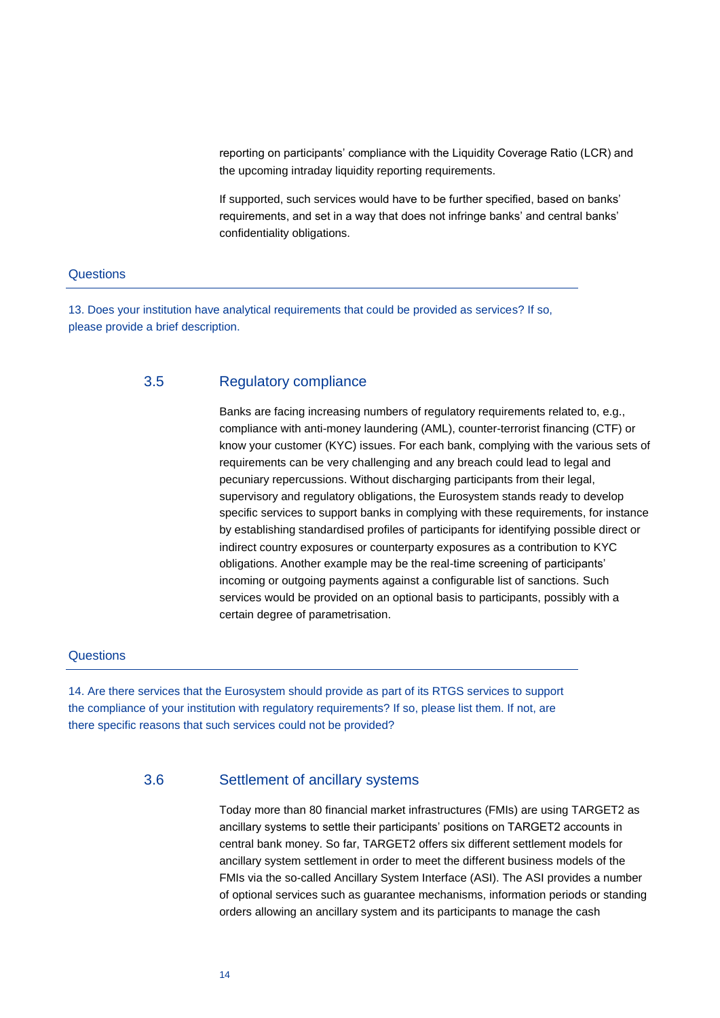reporting on participants' compliance with the Liquidity Coverage Ratio (LCR) and the upcoming intraday liquidity reporting requirements.

If supported, such services would have to be further specified, based on banks' requirements, and set in a way that does not infringe banks' and central banks' confidentiality obligations.

#### **Questions**

<span id="page-13-0"></span>13. Does your institution have analytical requirements that could be provided as services? If so, please provide a brief description.

#### 3.5 Regulatory compliance

Banks are facing increasing numbers of regulatory requirements related to, e.g., compliance with anti-money laundering (AML), counter-terrorist financing (CTF) or know your customer (KYC) issues. For each bank, complying with the various sets of requirements can be very challenging and any breach could lead to legal and pecuniary repercussions. Without discharging participants from their legal, supervisory and regulatory obligations, the Eurosystem stands ready to develop specific services to support banks in complying with these requirements, for instance by establishing standardised profiles of participants for identifying possible direct or indirect country exposures or counterparty exposures as a contribution to KYC obligations. Another example may be the real-time screening of participants' incoming or outgoing payments against a configurable list of sanctions. Such services would be provided on an optional basis to participants, possibly with a certain degree of parametrisation.

#### **Questions**

<span id="page-13-1"></span>14. Are there services that the Eurosystem should provide as part of its RTGS services to support the compliance of your institution with regulatory requirements? If so, please list them. If not, are there specific reasons that such services could not be provided?

#### 3.6 Settlement of ancillary systems

Today more than 80 financial market infrastructures (FMIs) are using TARGET2 as ancillary systems to settle their participants' positions on TARGET2 accounts in central bank money. So far, TARGET2 offers six different settlement models for ancillary system settlement in order to meet the different business models of the FMIs via the so-called Ancillary System Interface (ASI). The ASI provides a number of optional services such as guarantee mechanisms, information periods or standing orders allowing an ancillary system and its participants to manage the cash